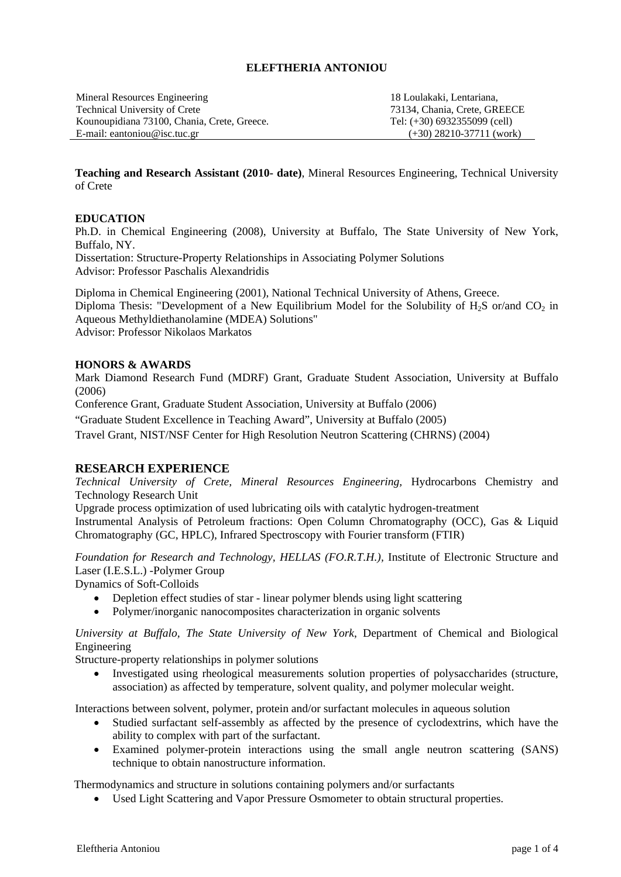### **ELEFTHERIA ANTONIOU**

Mineral Resources Engineering Technical University of Crete Kounoupidiana 73100, Chania, Crete, Greece. E-mail: eantoniou@isc.tuc.gr

18 Loulakaki, Lentariana, 73134, Chania, Crete, GREECE Tel: (+30) 6932355099 (cell) (+30) 28210-37711 (work)

**Teaching and Research Assistant (2010- date)**, Mineral Resources Engineering, Technical University of Crete

### **EDUCATION**

Ph.D. in Chemical Engineering (2008), University at Buffalo, The State University of New York, Buffalo, NY.

Dissertation: Structure-Property Relationships in Associating Polymer Solutions Advisor: Professor Paschalis Alexandridis

Diploma in Chemical Engineering (2001), National Technical University of Athens, Greece. Diploma Thesis: "Development of a New Equilibrium Model for the Solubility of  $H_2S$  or/and  $CO_2$  in Aqueous Methyldiethanolamine (MDEA) Solutions" Advisor: Professor Nikolaos Markatos

#### **HONORS & AWARDS**

Mark Diamond Research Fund (MDRF) Grant, Graduate Student Association, University at Buffalo (2006)

Conference Grant, Graduate Student Association, University at Buffalo (2006)

"Graduate Student Excellence in Teaching Award", University at Buffalo (2005)

Travel Grant, NIST/NSF Center for High Resolution Neutron Scattering (CHRNS) (2004)

# **RESEARCH EXPERIENCE**

*Technical University of Crete, Mineral Resources Engineering,* Hydrocarbons Chemistry and Technology Research Unit

Upgrade process optimization of used lubricating oils with catalytic hydrogen-treatment Instrumental Analysis of Petroleum fractions: Open Column Chromatography (OCC), Gas & Liquid Chromatography (GC, HPLC), Infrared Spectroscopy with Fourier transform (FTIR)

*Foundation for Research and Technology, HELLAS (FO.R.T.H.),* Institute of Electronic Structure and Laser (I.E.S.L.) -Polymer Group Dynamics of Soft-Colloids

• Depletion effect studies of star - linear polymer blends using light scattering

• Polymer/inorganic nanocomposites characterization in organic solvents

*University at Buffalo, The State University of New York*, Department of Chemical and Biological Engineering

Structure-property relationships in polymer solutions

• Investigated using rheological measurements solution properties of polysaccharides (structure, association) as affected by temperature, solvent quality, and polymer molecular weight.

Interactions between solvent, polymer, protein and/or surfactant molecules in aqueous solution

- Studied surfactant self-assembly as affected by the presence of cyclodextrins, which have the ability to complex with part of the surfactant.
- Examined polymer-protein interactions using the small angle neutron scattering (SANS) technique to obtain nanostructure information.

Thermodynamics and structure in solutions containing polymers and/or surfactants

• Used Light Scattering and Vapor Pressure Osmometer to obtain structural properties.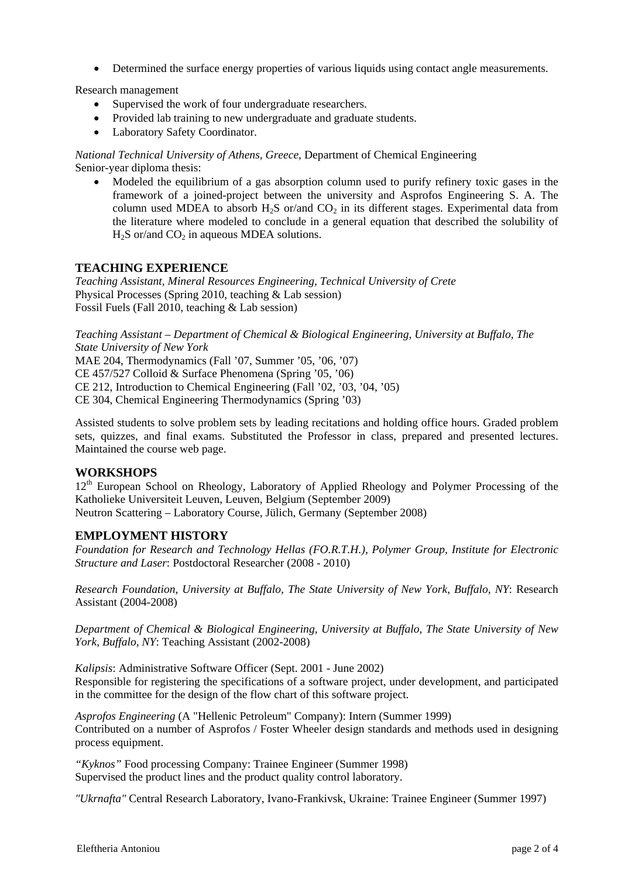• Determined the surface energy properties of various liquids using contact angle measurements.

Research management

- Supervised the work of four undergraduate researchers.
- Provided lab training to new undergraduate and graduate students.
- Laboratory Safety Coordinator.

*National Technical University of Athens, Greece*, Department of Chemical Engineering Senior-year diploma thesis:

• Modeled the equilibrium of a gas absorption column used to purify refinery toxic gases in the framework of a joined-project between the university and Asprofos Engineering S. A. The column used MDEA to absorb  $H_2S$  or/and  $CO_2$  in its different stages. Experimental data from the literature where modeled to conclude in a general equation that described the solubility of  $H_2S$  or/and  $CO_2$  in aqueous MDEA solutions.

# **TEACHING EXPERIENCE**

*Teaching Assistant, Mineral Resources Engineering, Technical University of Crete*  Physical Processes (Spring 2010, teaching & Lab session) Fossil Fuels (Fall 2010, teaching & Lab session)

*Teaching Assistant – Department of Chemical & Biological Engineering, University at Buffalo, The State University of New York* 

MAE 204, Thermodynamics (Fall '07, Summer '05, '06, '07) CE 457/527 Colloid & Surface Phenomena (Spring '05, '06) CE 212, Introduction to Chemical Engineering (Fall '02, '03, '04, '05) CE 304, Chemical Engineering Thermodynamics (Spring '03)

Assisted students to solve problem sets by leading recitations and holding office hours. Graded problem sets, quizzes, and final exams. Substituted the Professor in class, prepared and presented lectures. Maintained the course web page.

#### **WORKSHOPS**

12<sup>th</sup> European School on Rheology, Laboratory of Applied Rheology and Polymer Processing of the Katholieke Universiteit Leuven, Leuven, Belgium (September 2009) Neutron Scattering – Laboratory Course, Jülich, Germany (September 2008)

# **EMPLOYMENT HISTORY**

*Foundation for Research and Technology Hellas (FO.R.T.H.), Polymer Group, Institute for Electronic Structure and Laser*: Postdoctoral Researcher (2008 - 2010)

*Research Foundation, University at Buffalo, The State University of New York, Buffalo, NY*: Research Assistant (2004-2008)

*Department of Chemical & Biological Engineering, University at Buffalo, The State University of New York, Buffalo, NY*: Teaching Assistant (2002-2008)

*Kalipsis*: Administrative Software Officer (Sept. 2001 - June 2002) Responsible for registering the specifications of a software project, under development, and participated in the committee for the design of the flow chart of this software project.

*Asprofos Engineering* (A "Hellenic Petroleum" Company): Intern (Summer 1999) Contributed on a number of Asprofos / Foster Wheeler design standards and methods used in designing process equipment.

*"Kyknos"* Food processing Company: Trainee Engineer (Summer 1998) Supervised the product lines and the product quality control laboratory.

*"Ukrnafta"* Central Research Laboratory, Ivano-Frankivsk, Ukraine: Trainee Engineer (Summer 1997)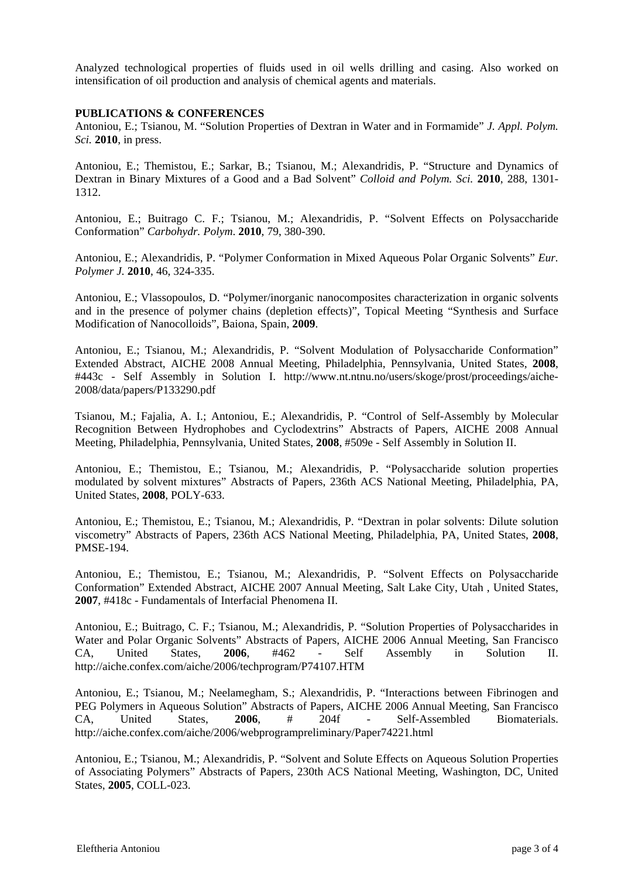Analyzed technological properties of fluids used in oil wells drilling and casing. Also worked on intensification of oil production and analysis of chemical agents and materials.

#### **PUBLICATIONS & CONFERENCES**

Antoniou, E.; Tsianou, M. "Solution Properties of Dextran in Water and in Formamide" *J. Appl. Polym. Sci.* **2010**, in press.

Antoniou, E.; Themistou, E.; Sarkar, B.; Tsianou, M.; Alexandridis, P. "Structure and Dynamics of Dextran in Binary Mixtures of a Good and a Bad Solvent" *Colloid and Polym. Sci.* **2010**, 288, 1301- 1312.

Antoniou, E.; Buitrago C. F.; Tsianou, M.; Alexandridis, P. "Solvent Effects on Polysaccharide Conformation" *Carbohydr. Polym*. **2010**, 79, 380-390.

Antoniou, E.; Alexandridis, P. "Polymer Conformation in Mixed Aqueous Polar Organic Solvents" *Eur. Polymer J.* **2010**, 46, 324-335.

Antoniou, E.; Vlassopoulos, D. "Polymer/inorganic nanocomposites characterization in organic solvents and in the presence of polymer chains (depletion effects)", Topical Meeting "Synthesis and Surface Modification of Nanocolloids", Baiona, Spain, **2009**.

Antoniou, E.; Tsianou, M.; Alexandridis, P. "Solvent Modulation of Polysaccharide Conformation" Extended Abstract, AICHE 2008 Annual Meeting, Philadelphia, Pennsylvania, United States, **2008**, #443c - Self Assembly in Solution I. http://www.nt.ntnu.no/users/skoge/prost/proceedings/aiche-2008/data/papers/P133290.pdf

Tsianou, M.; Fajalia, A. I.; Antoniou, E.; Alexandridis, P. "Control of Self-Assembly by Molecular Recognition Between Hydrophobes and Cyclodextrins" Abstracts of Papers, AICHE 2008 Annual Meeting, Philadelphia, Pennsylvania, United States, **2008**, #509e - Self Assembly in Solution II.

Antoniou, E.; Themistou, E.; Tsianou, M.; Alexandridis, P. "Polysaccharide solution properties modulated by solvent mixtures" Abstracts of Papers, 236th ACS National Meeting, Philadelphia, PA, United States, **2008**, POLY-633.

Antoniou, E.; Themistou, E.; Tsianou, M.; Alexandridis, P. "Dextran in polar solvents: Dilute solution viscometry" Abstracts of Papers, 236th ACS National Meeting, Philadelphia, PA, United States, **2008**, PMSE-194.

Antoniou, E.; Themistou, E.; Tsianou, M.; Alexandridis, P. "Solvent Effects on Polysaccharide Conformation" Extended Abstract, AICHE 2007 Annual Meeting, Salt Lake City, Utah , United States, **2007**, #418c - Fundamentals of Interfacial Phenomena II.

Antoniou, E.; Buitrago, C. F.; Tsianou, M.; Alexandridis, P. "Solution Properties of Polysaccharides in Water and Polar Organic Solvents" Abstracts of Papers, AICHE 2006 Annual Meeting, San Francisco CA, United States, **2006**, #462 - Self Assembly in Solution II. http://aiche.confex.com/aiche/2006/techprogram/P74107.HTM

Antoniou, E.; Tsianou, M.; Neelamegham, S.; Alexandridis, P. "Interactions between Fibrinogen and PEG Polymers in Aqueous Solution" Abstracts of Papers, AICHE 2006 Annual Meeting, San Francisco CA, United States, **2006**, # 204f - Self-Assembled Biomaterials. http://aiche.confex.com/aiche/2006/webprogrampreliminary/Paper74221.html

Antoniou, E.; Tsianou, M.; Alexandridis, P. "Solvent and Solute Effects on Aqueous Solution Properties of Associating Polymers" Abstracts of Papers, 230th ACS National Meeting, Washington, DC, United States, **2005**, COLL-023.